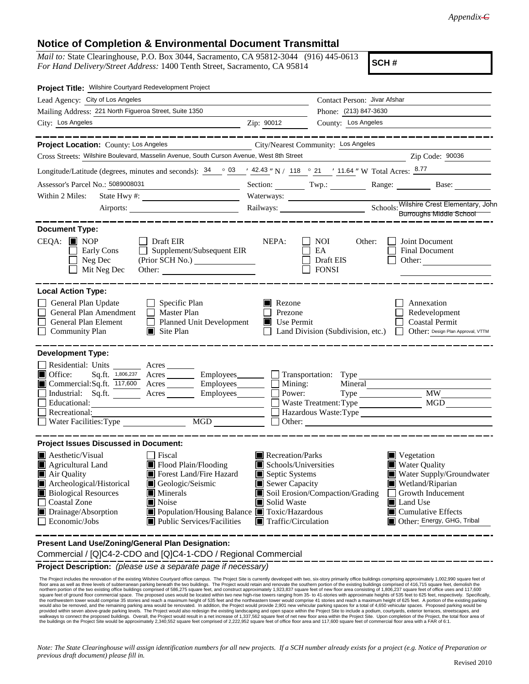## **Notice of Completion & Environmental Document Transmittal**

*Mail to:* State Clearinghouse, P.O. Box 3044, Sacramento, CA 95812-3044 (916) 445-0613 *For Hand Delivery/Street Address:* 1400 Tenth Street, Sacramento, CA 95814

**SCH #**

| Project Title: Wilshire Courtyard Redevelopment Project                                                                                                                                                                                                                                                                                                                                                                                 |               |                                                                                                                                                       |                              |                                                                                                                                                                                                         |
|-----------------------------------------------------------------------------------------------------------------------------------------------------------------------------------------------------------------------------------------------------------------------------------------------------------------------------------------------------------------------------------------------------------------------------------------|---------------|-------------------------------------------------------------------------------------------------------------------------------------------------------|------------------------------|---------------------------------------------------------------------------------------------------------------------------------------------------------------------------------------------------------|
| Lead Agency: City of Los Angeles                                                                                                                                                                                                                                                                                                                                                                                                        |               |                                                                                                                                                       | Contact Person: Jivar Afshar |                                                                                                                                                                                                         |
| Mailing Address: 221 North Figueroa Street, Suite 1350                                                                                                                                                                                                                                                                                                                                                                                  |               |                                                                                                                                                       | Phone: (213) 847-3630        |                                                                                                                                                                                                         |
| City: Los Angeles<br><u> 1989 - Johann Barn, amerikansk politiker (</u> † 1908)                                                                                                                                                                                                                                                                                                                                                         | Zip: 90012    |                                                                                                                                                       | County: Los Angeles          |                                                                                                                                                                                                         |
|                                                                                                                                                                                                                                                                                                                                                                                                                                         |               |                                                                                                                                                       |                              |                                                                                                                                                                                                         |
| Project Location: County: Los Angeles                                                                                                                                                                                                                                                                                                                                                                                                   |               | City/Nearest Community: Los Angeles                                                                                                                   |                              |                                                                                                                                                                                                         |
| Cross Streets: Wilshire Boulevard, Masselin Avenue, South Curson Avenue, West 8th Street                                                                                                                                                                                                                                                                                                                                                |               |                                                                                                                                                       |                              | Zip Code: 90036                                                                                                                                                                                         |
| Longitude/Latitude (degrees, minutes and seconds): $\frac{34}{9}$ $\frac{03}{4}$ $\frac{42.43}{118}$ N / 118 $\degree$ 21 $\degree$ 11.64 " W Total Acres: $\frac{8.77}{11.64}$                                                                                                                                                                                                                                                         |               |                                                                                                                                                       |                              |                                                                                                                                                                                                         |
| Assessor's Parcel No.: 5089008031<br><u> 1980 - Johann Barn, mars an t-Amerikaansk kommunister (</u>                                                                                                                                                                                                                                                                                                                                    |               |                                                                                                                                                       |                              | Section: Twp.: Range: Base:                                                                                                                                                                             |
| Within 2 Miles:                                                                                                                                                                                                                                                                                                                                                                                                                         |               |                                                                                                                                                       |                              |                                                                                                                                                                                                         |
| Airports:                                                                                                                                                                                                                                                                                                                                                                                                                               |               |                                                                                                                                                       |                              | Waterways.<br>Railways: <u>Charles Railways:</u> Chools: Wilshire Crest Elementary, John                                                                                                                |
|                                                                                                                                                                                                                                                                                                                                                                                                                                         |               |                                                                                                                                                       |                              |                                                                                                                                                                                                         |
| <b>Document Type:</b><br>$CEQA: \blacksquare$ NOP<br>$\Box$ Draft EIR<br>$\Box$<br>Supplement/Subsequent EIR<br>Early Cons<br>Neg Dec<br>Mit Neg Dec                                                                                                                                                                                                                                                                                    | NEPA:         | NOI<br>EA<br>Draft EIS<br><b>FONSI</b>                                                                                                                | Other:                       | Joint Document<br><b>Final Document</b><br>Other:                                                                                                                                                       |
| <b>Local Action Type:</b><br>General Plan Update<br>Specific Plan<br>General Plan Amendment<br>$\Box$ Master Plan<br>General Plan Element<br><b>Planned Unit Development</b><br><b>Community Plan</b><br>$\Box$ Site Plan                                                                                                                                                                                                               | <b>Rezone</b> | Prezone<br>$\blacksquare$ Use Permit<br>Land Division (Subdivision, etc.)                                                                             |                              | Annexation<br>Redevelopment<br><b>Coastal Permit</b><br>Other: Design Plan Approval, VTTM<br>$\perp$                                                                                                    |
| <b>Development Type:</b>                                                                                                                                                                                                                                                                                                                                                                                                                |               |                                                                                                                                                       |                              |                                                                                                                                                                                                         |
| Residential: Units ________ Acres _______<br>Sq.ft. 1,806,237 Acres Employees Transportation: Type<br>Office:<br>$\Box$ Commercial: Sq.ft. $\overline{117,600}$ Acres $\_\_\_\_\$ Employees $\_\_\_\_\$<br>Industrial: Sq.ft. <u>Acres</u> Acres Employees<br>Recreational:<br>$\overline{\text{MGD}}$<br>Water Facilities: Type                                                                                                        | $\mathbf{L}$  | Mining:<br>Power:<br>Waste Treatment: Type                                                                                                            | Mineral                      | MGD<br>Hazardous Waste:Type                                                                                                                                                                             |
| <b>Project Issues Discussed in Document:</b>                                                                                                                                                                                                                                                                                                                                                                                            |               |                                                                                                                                                       |                              |                                                                                                                                                                                                         |
| $\blacksquare$ Aesthetic/Visual<br>Fiscal<br>Agricultural Land<br>$\blacksquare$ Flood Plain/Flooding<br>Forest Land/Fire Hazard<br>Air Quality<br>Archeological/Historical<br>Geologic/Seismic<br><b>Biological Resources</b><br>$\blacksquare$ Minerals<br><b>Coastal Zone</b><br>Noise<br>Drainage/Absorption<br>■ Population/Housing Balance ■ Toxic/Hazardous<br>$\Box$ Economic/Jobs<br>$\blacksquare$ Public Services/Facilities | Solid Waste   | Recreation/Parks<br>Schools/Universities<br>Septic Systems<br>Sewer Capacity<br>Soil Erosion/Compaction/Grading<br>$\blacksquare$ Traffic/Circulation |                              | $\blacksquare$ Vegetation<br>Water Quality<br>Water Supply/Groundwater<br>Wetland/Riparian<br>Growth Inducement<br><b>■</b> Land Use<br>$\blacksquare$ Cumulative Effects<br>Other: Energy, GHG, Tribal |
| Present Land Use/Zoning/General Plan Designation:                                                                                                                                                                                                                                                                                                                                                                                       |               |                                                                                                                                                       |                              |                                                                                                                                                                                                         |

Commercial / [Q]C4-2-CDO and [Q]C4-1-CDO / Regional Commercial

**Project Description:** *(please use a separate page if necessary)*

The Project includes the renovation of the existing Wilshire Courtyard office anglus. The Project Site is currently developed with two, six-story primarily office buildings comprised of 416,715 square feet of emotion of th would also be removed, and the remaining parking area would be renovated. In addition, the Project would provide 2,901 new vehicular parking spaces for a total of 4,650 vehicular spaces. Proposed parking would be<br>provided the buildings on the Project Site would be approximately 2,340,552 square feet comprised of 2,222,952 square feet of office floor area and 117,600 square feet of commercial floor area with a FAR of 6:1.

*Note: The State Clearinghouse will assign identification numbers for all new projects. If a SCH number already exists for a project (e.g. Notice of Preparation or previous draft document) please fill in.*